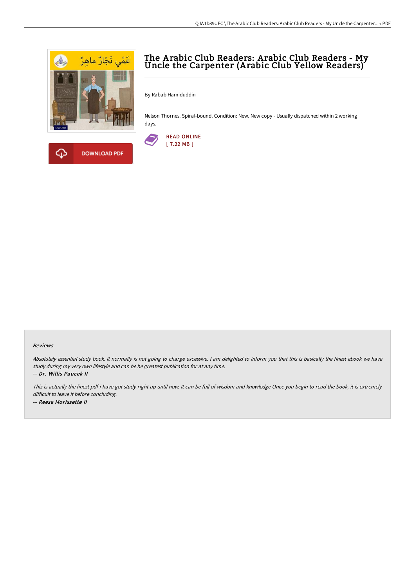



By Rabab Hamiduddin

Nelson Thornes. Spiral-bound. Condition: New. New copy - Usually dispatched within 2 working days.



## Reviews

Absolutely essential study book. It normally is not going to charge excessive. I am delighted to inform you that this is basically the finest ebook we have study during my very own lifestyle and can be he greatest publication for at any time. -- Dr. Willis Paucek II

This is actually the finest pdf i have got study right up until now. It can be full of wisdom and knowledge Once you begin to read the book, it is extremely difficult to leave it before concluding.

-- Reese Morissette II